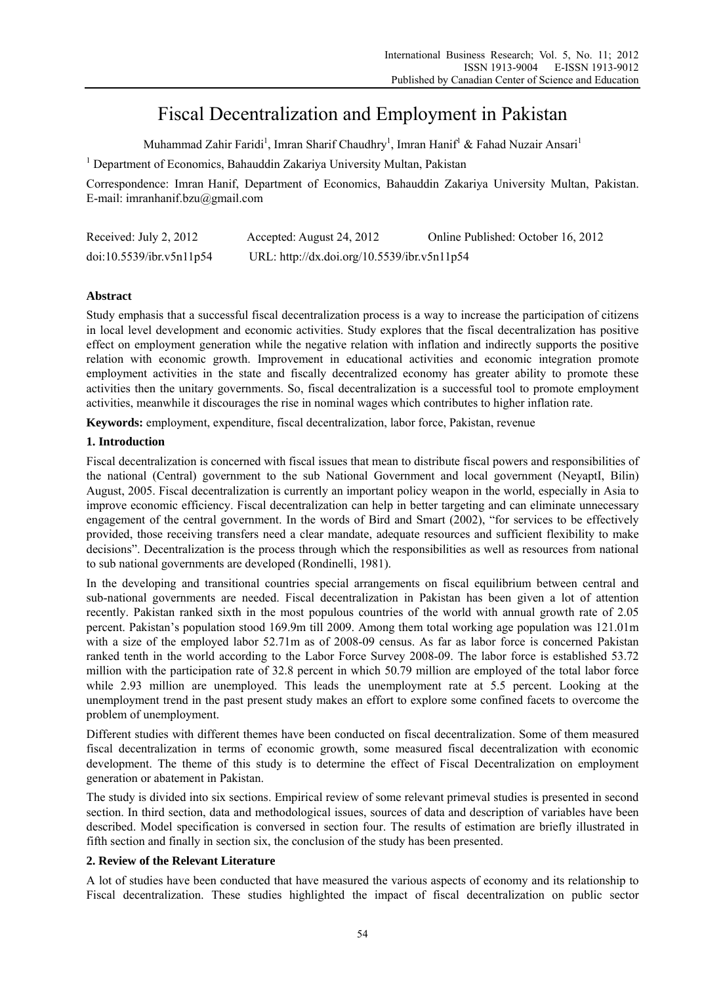# Fiscal Decentralization and Employment in Pakistan

Muhammad Zahir Faridi<sup>1</sup>, Imran Sharif Chaudhry<sup>1</sup>, Imran Hanif<sup>1</sup> & Fahad Nuzair Ansari<sup>1</sup>

<sup>1</sup> Department of Economics, Bahauddin Zakariya University Multan, Pakistan

Correspondence: Imran Hanif, Department of Economics, Bahauddin Zakariya University Multan, Pakistan. E-mail: imranhanif.bzu@gmail.com

| Received: July 2, 2012   | Accepted: August 24, 2012                   | Online Published: October 16, 2012 |
|--------------------------|---------------------------------------------|------------------------------------|
| doi:10.5539/ibr.v5n11p54 | URL: http://dx.doi.org/10.5539/ibr.v5n11p54 |                                    |

# **Abstract**

Study emphasis that a successful fiscal decentralization process is a way to increase the participation of citizens in local level development and economic activities. Study explores that the fiscal decentralization has positive effect on employment generation while the negative relation with inflation and indirectly supports the positive relation with economic growth. Improvement in educational activities and economic integration promote employment activities in the state and fiscally decentralized economy has greater ability to promote these activities then the unitary governments. So, fiscal decentralization is a successful tool to promote employment activities, meanwhile it discourages the rise in nominal wages which contributes to higher inflation rate.

**Keywords:** employment, expenditure, fiscal decentralization, labor force, Pakistan, revenue

# **1. Introduction**

Fiscal decentralization is concerned with fiscal issues that mean to distribute fiscal powers and responsibilities of the national (Central) government to the sub National Government and local government (NeyaptI, Bilin) August, 2005. Fiscal decentralization is currently an important policy weapon in the world, especially in Asia to improve economic efficiency. Fiscal decentralization can help in better targeting and can eliminate unnecessary engagement of the central government. In the words of Bird and Smart (2002), "for services to be effectively provided, those receiving transfers need a clear mandate, adequate resources and sufficient flexibility to make decisions". Decentralization is the process through which the responsibilities as well as resources from national to sub national governments are developed (Rondinelli, 1981).

In the developing and transitional countries special arrangements on fiscal equilibrium between central and sub-national governments are needed. Fiscal decentralization in Pakistan has been given a lot of attention recently. Pakistan ranked sixth in the most populous countries of the world with annual growth rate of 2.05 percent. Pakistan's population stood 169.9m till 2009. Among them total working age population was 121.01m with a size of the employed labor 52.71m as of 2008-09 census. As far as labor force is concerned Pakistan ranked tenth in the world according to the Labor Force Survey 2008-09. The labor force is established 53.72 million with the participation rate of 32.8 percent in which 50.79 million are employed of the total labor force while 2.93 million are unemployed. This leads the unemployment rate at 5.5 percent. Looking at the unemployment trend in the past present study makes an effort to explore some confined facets to overcome the problem of unemployment.

Different studies with different themes have been conducted on fiscal decentralization. Some of them measured fiscal decentralization in terms of economic growth, some measured fiscal decentralization with economic development. The theme of this study is to determine the effect of Fiscal Decentralization on employment generation or abatement in Pakistan.

The study is divided into six sections. Empirical review of some relevant primeval studies is presented in second section. In third section, data and methodological issues, sources of data and description of variables have been described. Model specification is conversed in section four. The results of estimation are briefly illustrated in fifth section and finally in section six, the conclusion of the study has been presented.

# **2. Review of the Relevant Literature**

A lot of studies have been conducted that have measured the various aspects of economy and its relationship to Fiscal decentralization. These studies highlighted the impact of fiscal decentralization on public sector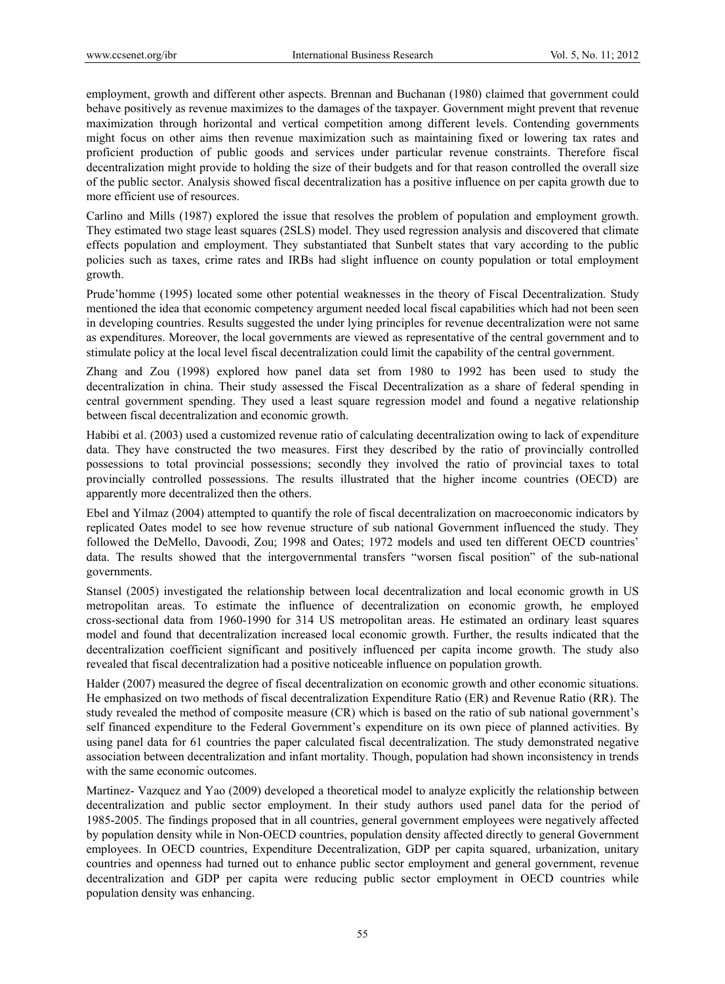employment, growth and different other aspects. Brennan and Buchanan (1980) claimed that government could behave positively as revenue maximizes to the damages of the taxpayer. Government might prevent that revenue maximization through horizontal and vertical competition among different levels. Contending governments might focus on other aims then revenue maximization such as maintaining fixed or lowering tax rates and proficient production of public goods and services under particular revenue constraints. Therefore fiscal decentralization might provide to holding the size of their budgets and for that reason controlled the overall size of the public sector. Analysis showed fiscal decentralization has a positive influence on per capita growth due to more efficient use of resources.

Carlino and Mills (1987) explored the issue that resolves the problem of population and employment growth. They estimated two stage least squares (2SLS) model. They used regression analysis and discovered that climate effects population and employment. They substantiated that Sunbelt states that vary according to the public policies such as taxes, crime rates and IRBs had slight influence on county population or total employment growth.

Prude'homme (1995) located some other potential weaknesses in the theory of Fiscal Decentralization. Study mentioned the idea that economic competency argument needed local fiscal capabilities which had not been seen in developing countries. Results suggested the under lying principles for revenue decentralization were not same as expenditures. Moreover, the local governments are viewed as representative of the central government and to stimulate policy at the local level fiscal decentralization could limit the capability of the central government.

Zhang and Zou (1998) explored how panel data set from 1980 to 1992 has been used to study the decentralization in china. Their study assessed the Fiscal Decentralization as a share of federal spending in central government spending. They used a least square regression model and found a negative relationship between fiscal decentralization and economic growth.

Habibi et al. (2003) used a customized revenue ratio of calculating decentralization owing to lack of expenditure data. They have constructed the two measures. First they described by the ratio of provincially controlled possessions to total provincial possessions; secondly they involved the ratio of provincial taxes to total provincially controlled possessions. The results illustrated that the higher income countries (OECD) are apparently more decentralized then the others.

Ebel and Yilmaz (2004) attempted to quantify the role of fiscal decentralization on macroeconomic indicators by replicated Oates model to see how revenue structure of sub national Government influenced the study. They followed the DeMello, Davoodi, Zou; 1998 and Oates; 1972 models and used ten different OECD countries' data. The results showed that the intergovernmental transfers "worsen fiscal position" of the sub-national governments.

Stansel (2005) investigated the relationship between local decentralization and local economic growth in US metropolitan areas. To estimate the influence of decentralization on economic growth, he employed cross-sectional data from 1960-1990 for 314 US metropolitan areas. He estimated an ordinary least squares model and found that decentralization increased local economic growth. Further, the results indicated that the decentralization coefficient significant and positively influenced per capita income growth. The study also revealed that fiscal decentralization had a positive noticeable influence on population growth.

Halder (2007) measured the degree of fiscal decentralization on economic growth and other economic situations. He emphasized on two methods of fiscal decentralization Expenditure Ratio (ER) and Revenue Ratio (RR). The study revealed the method of composite measure (CR) which is based on the ratio of sub national government's self financed expenditure to the Federal Government's expenditure on its own piece of planned activities. By using panel data for 61 countries the paper calculated fiscal decentralization. The study demonstrated negative association between decentralization and infant mortality. Though, population had shown inconsistency in trends with the same economic outcomes.

Martinez- Vazquez and Yao (2009) developed a theoretical model to analyze explicitly the relationship between decentralization and public sector employment. In their study authors used panel data for the period of 1985-2005. The findings proposed that in all countries, general government employees were negatively affected by population density while in Non-OECD countries, population density affected directly to general Government employees. In OECD countries, Expenditure Decentralization, GDP per capita squared, urbanization, unitary countries and openness had turned out to enhance public sector employment and general government, revenue decentralization and GDP per capita were reducing public sector employment in OECD countries while population density was enhancing.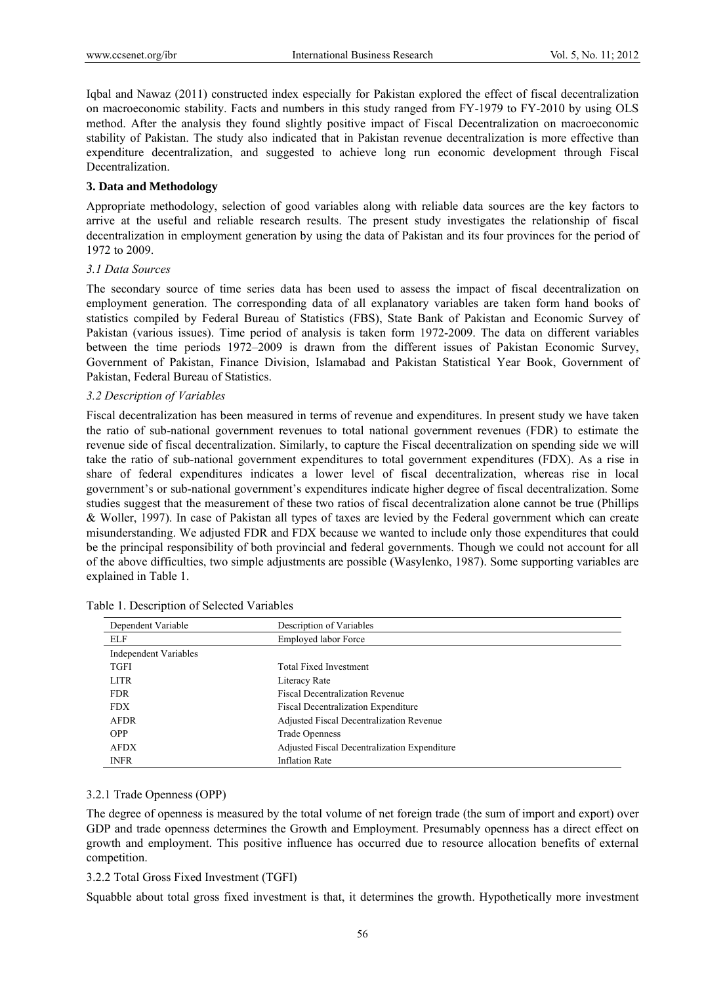Iqbal and Nawaz (2011) constructed index especially for Pakistan explored the effect of fiscal decentralization on macroeconomic stability. Facts and numbers in this study ranged from FY-1979 to FY-2010 by using OLS method. After the analysis they found slightly positive impact of Fiscal Decentralization on macroeconomic stability of Pakistan. The study also indicated that in Pakistan revenue decentralization is more effective than expenditure decentralization, and suggested to achieve long run economic development through Fiscal Decentralization.

## **3. Data and Methodology**

Appropriate methodology, selection of good variables along with reliable data sources are the key factors to arrive at the useful and reliable research results. The present study investigates the relationship of fiscal decentralization in employment generation by using the data of Pakistan and its four provinces for the period of 1972 to 2009.

## *3.1 Data Sources*

The secondary source of time series data has been used to assess the impact of fiscal decentralization on employment generation. The corresponding data of all explanatory variables are taken form hand books of statistics compiled by Federal Bureau of Statistics (FBS), State Bank of Pakistan and Economic Survey of Pakistan (various issues). Time period of analysis is taken form 1972-2009. The data on different variables between the time periods 1972–2009 is drawn from the different issues of Pakistan Economic Survey, Government of Pakistan, Finance Division, Islamabad and Pakistan Statistical Year Book, Government of Pakistan, Federal Bureau of Statistics.

## *3.2 Description of Variables*

Fiscal decentralization has been measured in terms of revenue and expenditures. In present study we have taken the ratio of sub-national government revenues to total national government revenues (FDR) to estimate the revenue side of fiscal decentralization. Similarly, to capture the Fiscal decentralization on spending side we will take the ratio of sub-national government expenditures to total government expenditures (FDX). As a rise in share of federal expenditures indicates a lower level of fiscal decentralization, whereas rise in local government's or sub-national government's expenditures indicate higher degree of fiscal decentralization. Some studies suggest that the measurement of these two ratios of fiscal decentralization alone cannot be true (Phillips & Woller, 1997). In case of Pakistan all types of taxes are levied by the Federal government which can create misunderstanding. We adjusted FDR and FDX because we wanted to include only those expenditures that could be the principal responsibility of both provincial and federal governments. Though we could not account for all of the above difficulties, two simple adjustments are possible (Wasylenko, 1987). Some supporting variables are explained in Table 1.

| Dependent Variable           | Description of Variables                     |
|------------------------------|----------------------------------------------|
| ELF                          | <b>Employed labor Force</b>                  |
| <b>Independent Variables</b> |                                              |
| <b>TGFI</b>                  | Total Fixed Investment                       |
| <b>LITR</b>                  | Literacy Rate                                |
| <b>FDR</b>                   | <b>Fiscal Decentralization Revenue</b>       |
| <b>FDX</b>                   | <b>Fiscal Decentralization Expenditure</b>   |
| <b>AFDR</b>                  | Adjusted Fiscal Decentralization Revenue     |
| <b>OPP</b>                   | Trade Openness                               |
| <b>AFDX</b>                  | Adjusted Fiscal Decentralization Expenditure |
| <b>INFR</b>                  | <b>Inflation Rate</b>                        |

## 3.2.1 Trade Openness (OPP)

The degree of openness is measured by the total volume of net foreign trade (the sum of import and export) over GDP and trade openness determines the Growth and Employment. Presumably openness has a direct effect on growth and employment. This positive influence has occurred due to resource allocation benefits of external competition.

## 3.2.2 Total Gross Fixed Investment (TGFI)

Squabble about total gross fixed investment is that, it determines the growth. Hypothetically more investment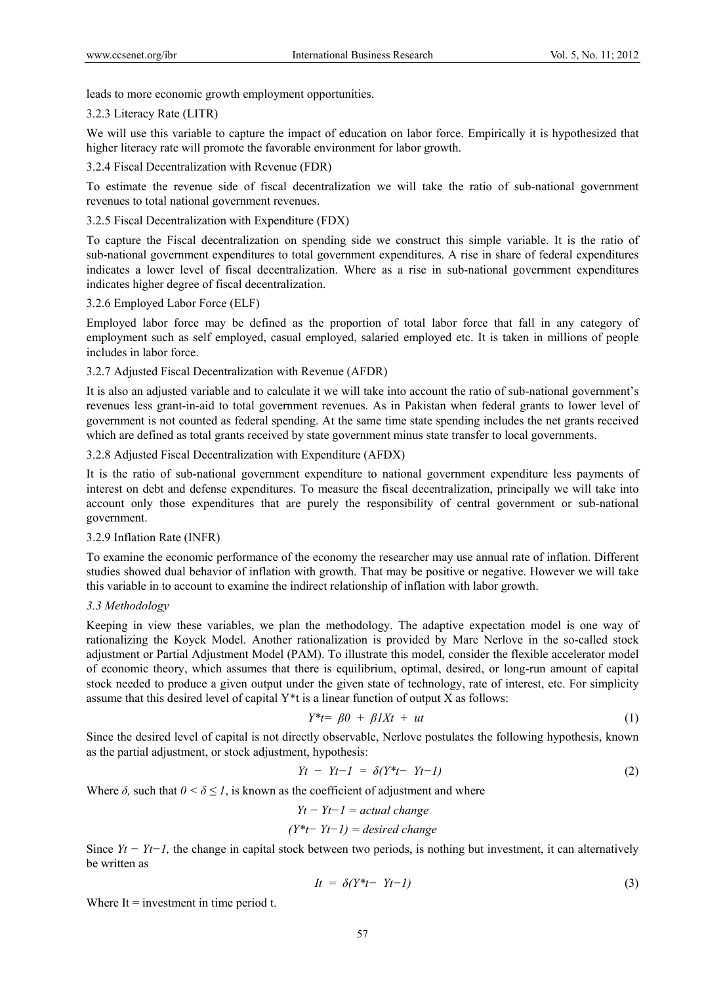leads to more economic growth employment opportunities.

#### 3.2.3 Literacy Rate (LITR)

We will use this variable to capture the impact of education on labor force. Empirically it is hypothesized that higher literacy rate will promote the favorable environment for labor growth.

#### 3.2.4 Fiscal Decentralization with Revenue (FDR)

To estimate the revenue side of fiscal decentralization we will take the ratio of sub-national government revenues to total national government revenues.

#### 3.2.5 Fiscal Decentralization with Expenditure (FDX)

To capture the Fiscal decentralization on spending side we construct this simple variable. It is the ratio of sub-national government expenditures to total government expenditures. A rise in share of federal expenditures indicates a lower level of fiscal decentralization. Where as a rise in sub-national government expenditures indicates higher degree of fiscal decentralization.

## 3.2.6 Employed Labor Force (ELF)

Employed labor force may be defined as the proportion of total labor force that fall in any category of employment such as self employed, casual employed, salaried employed etc. It is taken in millions of people includes in labor force.

## 3.2.7 Adjusted Fiscal Decentralization with Revenue (AFDR)

It is also an adjusted variable and to calculate it we will take into account the ratio of sub-national government's revenues less grant-in-aid to total government revenues. As in Pakistan when federal grants to lower level of government is not counted as federal spending. At the same time state spending includes the net grants received which are defined as total grants received by state government minus state transfer to local governments.

## 3.2.8 Adjusted Fiscal Decentralization with Expenditure (AFDX)

It is the ratio of sub-national government expenditure to national government expenditure less payments of interest on debt and defense expenditures. To measure the fiscal decentralization, principally we will take into account only those expenditures that are purely the responsibility of central government or sub-national government.

## 3.2.9 Inflation Rate (INFR)

To examine the economic performance of the economy the researcher may use annual rate of inflation. Different studies showed dual behavior of inflation with growth. That may be positive or negative. However we will take this variable in to account to examine the indirect relationship of inflation with labor growth.

## *3.3 Methodology*

Keeping in view these variables, we plan the methodology. The adaptive expectation model is one way of rationalizing the Koyck Model. Another rationalization is provided by Marc Nerlove in the so-called stock adjustment or Partial Adjustment Model (PAM). To illustrate this model, consider the flexible accelerator model of economic theory, which assumes that there is equilibrium, optimal, desired, or long-run amount of capital stock needed to produce a given output under the given state of technology, rate of interest, etc. For simplicity assume that this desired level of capital  $Y^*$ t is a linear function of output X as follows:

$$
Y^*t = \beta 0 + \beta I X t + ut \tag{1}
$$

Since the desired level of capital is not directly observable, Nerlove postulates the following hypothesis, known as the partial adjustment, or stock adjustment, hypothesis:

$$
Yt - Yt - 1 = \delta(Y^*t - Yt - 1) \tag{2}
$$

Where  $\delta$ , such that  $0 \leq \delta \leq 1$ , is known as the coefficient of adjustment and where

$$
Yt - Yt - 1 = actual change
$$

*(Y\*t− Yt−1) = desired change* 

Since *Yt − Yt−1,* the change in capital stock between two periods, is nothing but investment, it can alternatively be written as

$$
It = \delta(Y^*t - Yt - I) \tag{3}
$$

Where  $It = investment in time period t$ .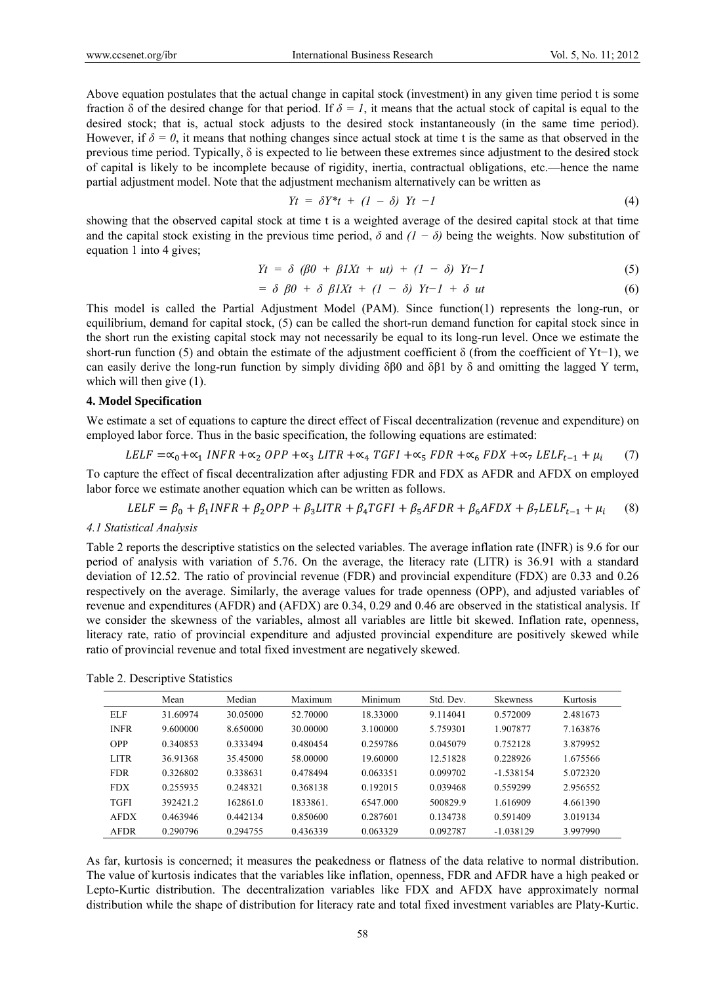Above equation postulates that the actual change in capital stock (investment) in any given time period t is some fraction δ of the desired change for that period. If *δ = 1*, it means that the actual stock of capital is equal to the desired stock; that is, actual stock adjusts to the desired stock instantaneously (in the same time period). However, if  $\delta = 0$ , it means that nothing changes since actual stock at time t is the same as that observed in the previous time period. Typically,  $\delta$  is expected to lie between these extremes since adjustment to the desired stock of capital is likely to be incomplete because of rigidity, inertia, contractual obligations, etc.—hence the name partial adjustment model. Note that the adjustment mechanism alternatively can be written as

$$
Yt = \delta Y^*t + (1 - \delta) Yt -1 \tag{4}
$$

showing that the observed capital stock at time t is a weighted average of the desired capital stock at that time and the capital stock existing in the previous time period,  $\delta$  and  $(1 - \delta)$  being the weights. Now substitution of equation 1 into 4 gives;

$$
Yt = \delta \left( \beta 0 + \beta I X t + ut \right) + \left( 1 - \delta \right) Yt - 1 \tag{5}
$$

$$
= \delta \beta 0 + \delta \beta I X t + (1 - \delta) Y t - 1 + \delta u t \tag{6}
$$

This model is called the Partial Adjustment Model (PAM). Since function(1) represents the long-run, or equilibrium, demand for capital stock, (5) can be called the short-run demand function for capital stock since in the short run the existing capital stock may not necessarily be equal to its long-run level. Once we estimate the short-run function (5) and obtain the estimate of the adjustment coefficient δ (from the coefficient of Yt−1), we can easily derive the long-run function by simply dividing δβ0 and δβ1 by δ and omitting the lagged Y term, which will then give  $(1)$ .

#### **4. Model Specification**

We estimate a set of equations to capture the direct effect of Fiscal decentralization (revenue and expenditure) on employed labor force. Thus in the basic specification, the following equations are estimated:

$$
LELF = \alpha_0 + \alpha_1 \text{ INFR} + \alpha_2 \text{ OPP} + \alpha_3 \text{ LITR} + \alpha_4 \text{ TGFI} + \alpha_5 \text{ FDR} + \alpha_6 \text{ FDX} + \alpha_7 \text{ LELF}_{t-1} + \mu_i \tag{7}
$$

To capture the effect of fiscal decentralization after adjusting FDR and FDX as AFDR and AFDX on employed labor force we estimate another equation which can be written as follows.

$$
LELF = \beta_0 + \beta_1 INFR + \beta_2 OPP + \beta_3 LITR + \beta_4 TGFI + \beta_5 AFDR + \beta_6 AFDX + \beta_7 LELF_{t-1} + \mu_i \tag{8}
$$

#### *4.1 Statistical Analysis*

Table 2 reports the descriptive statistics on the selected variables. The average inflation rate (INFR) is 9.6 for our period of analysis with variation of 5.76. On the average, the literacy rate (LITR) is 36.91 with a standard deviation of 12.52. The ratio of provincial revenue (FDR) and provincial expenditure (FDX) are 0.33 and 0.26 respectively on the average. Similarly, the average values for trade openness (OPP), and adjusted variables of revenue and expenditures (AFDR) and (AFDX) are 0.34, 0.29 and 0.46 are observed in the statistical analysis. If we consider the skewness of the variables, almost all variables are little bit skewed. Inflation rate, openness, literacy rate, ratio of provincial expenditure and adjusted provincial expenditure are positively skewed while ratio of provincial revenue and total fixed investment are negatively skewed.

Table 2. Descriptive Statistics

|             | Mean     | Median   | Maximum  | Minimum  | Std. Dev. | <b>Skewness</b> | Kurtosis |
|-------------|----------|----------|----------|----------|-----------|-----------------|----------|
| ELF         | 31.60974 | 30.05000 | 52.70000 | 18.33000 | 9.114041  | 0.572009        | 2.481673 |
| <b>INFR</b> | 9.600000 | 8.650000 | 30.00000 | 3.100000 | 5.759301  | 1.907877        | 7.163876 |
| <b>OPP</b>  | 0.340853 | 0.333494 | 0.480454 | 0.259786 | 0.045079  | 0.752128        | 3.879952 |
| <b>LITR</b> | 36.91368 | 35.45000 | 58.00000 | 19.60000 | 12.51828  | 0.228926        | 1.675566 |
| <b>FDR</b>  | 0.326802 | 0.338631 | 0.478494 | 0.063351 | 0.099702  | $-1.538154$     | 5.072320 |
| <b>FDX</b>  | 0.255935 | 0.248321 | 0.368138 | 0.192015 | 0.039468  | 0.559299        | 2.956552 |
| <b>TGFI</b> | 392421.2 | 162861.0 | 1833861. | 6547.000 | 500829.9  | 1.616909        | 4.661390 |
| <b>AFDX</b> | 0.463946 | 0.442134 | 0.850600 | 0.287601 | 0.134738  | 0.591409        | 3.019134 |
| <b>AFDR</b> | 0.290796 | 0.294755 | 0.436339 | 0.063329 | 0.092787  | $-1.038129$     | 3.997990 |

As far, kurtosis is concerned; it measures the peakedness or flatness of the data relative to normal distribution. The value of kurtosis indicates that the variables like inflation, openness, FDR and AFDR have a high peaked or Lepto-Kurtic distribution. The decentralization variables like FDX and AFDX have approximately normal distribution while the shape of distribution for literacy rate and total fixed investment variables are Platy-Kurtic.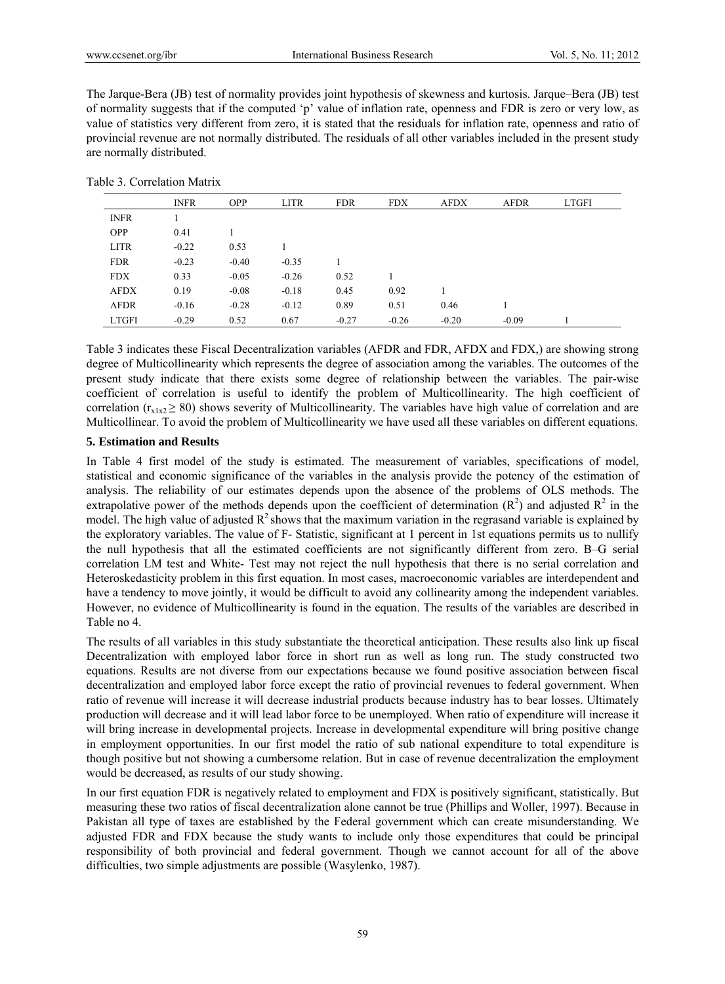The Jarque-Bera (JB) test of normality provides joint hypothesis of skewness and kurtosis. Jarque–Bera (JB) test of normality suggests that if the computed 'p' value of inflation rate, openness and FDR is zero or very low, as value of statistics very different from zero, it is stated that the residuals for inflation rate, openness and ratio of provincial revenue are not normally distributed. The residuals of all other variables included in the present study are normally distributed.

Table 3. Correlation Matrix

|              | <b>INFR</b> | <b>OPP</b> | <b>LITR</b> | <b>FDR</b> | <b>FDX</b> | <b>AFDX</b> | <b>AFDR</b> | <b>LTGFI</b> |
|--------------|-------------|------------|-------------|------------|------------|-------------|-------------|--------------|
| <b>INFR</b>  |             |            |             |            |            |             |             |              |
| <b>OPP</b>   | 0.41        |            |             |            |            |             |             |              |
| <b>LITR</b>  | $-0.22$     | 0.53       |             |            |            |             |             |              |
| <b>FDR</b>   | $-0.23$     | $-0.40$    | $-0.35$     |            |            |             |             |              |
| <b>FDX</b>   | 0.33        | $-0.05$    | $-0.26$     | 0.52       |            |             |             |              |
| <b>AFDX</b>  | 0.19        | $-0.08$    | $-0.18$     | 0.45       | 0.92       |             |             |              |
| <b>AFDR</b>  | $-0.16$     | $-0.28$    | $-0.12$     | 0.89       | 0.51       | 0.46        |             |              |
| <b>LTGFI</b> | $-0.29$     | 0.52       | 0.67        | $-0.27$    | $-0.26$    | $-0.20$     | $-0.09$     |              |

Table 3 indicates these Fiscal Decentralization variables (AFDR and FDR, AFDX and FDX,) are showing strong degree of Multicollinearity which represents the degree of association among the variables. The outcomes of the present study indicate that there exists some degree of relationship between the variables. The pair-wise coefficient of correlation is useful to identify the problem of Multicollinearity. The high coefficient of correlation ( $r_{x1x2} \ge 80$ ) shows severity of Multicollinearity. The variables have high value of correlation and are Multicollinear. To avoid the problem of Multicollinearity we have used all these variables on different equations.

## **5. Estimation and Results**

In Table 4 first model of the study is estimated. The measurement of variables, specifications of model, statistical and economic significance of the variables in the analysis provide the potency of the estimation of analysis. The reliability of our estimates depends upon the absence of the problems of OLS methods. The extrapolative power of the methods depends upon the coefficient of determination  $(R^2)$  and adjusted  $R^2$  in the model. The high value of adjusted  $R^2$  shows that the maximum variation in the regrasand variable is explained by the exploratory variables. The value of F- Statistic, significant at 1 percent in 1st equations permits us to nullify the null hypothesis that all the estimated coefficients are not significantly different from zero. B–G serial correlation LM test and White- Test may not reject the null hypothesis that there is no serial correlation and Heteroskedasticity problem in this first equation. In most cases, macroeconomic variables are interdependent and have a tendency to move jointly, it would be difficult to avoid any collinearity among the independent variables. However, no evidence of Multicollinearity is found in the equation. The results of the variables are described in Table no 4.

The results of all variables in this study substantiate the theoretical anticipation. These results also link up fiscal Decentralization with employed labor force in short run as well as long run. The study constructed two equations. Results are not diverse from our expectations because we found positive association between fiscal decentralization and employed labor force except the ratio of provincial revenues to federal government. When ratio of revenue will increase it will decrease industrial products because industry has to bear losses. Ultimately production will decrease and it will lead labor force to be unemployed. When ratio of expenditure will increase it will bring increase in developmental projects. Increase in developmental expenditure will bring positive change in employment opportunities. In our first model the ratio of sub national expenditure to total expenditure is though positive but not showing a cumbersome relation. But in case of revenue decentralization the employment would be decreased, as results of our study showing.

In our first equation FDR is negatively related to employment and FDX is positively significant, statistically. But measuring these two ratios of fiscal decentralization alone cannot be true (Phillips and Woller, 1997). Because in Pakistan all type of taxes are established by the Federal government which can create misunderstanding. We adjusted FDR and FDX because the study wants to include only those expenditures that could be principal responsibility of both provincial and federal government. Though we cannot account for all of the above difficulties, two simple adjustments are possible (Wasylenko, 1987).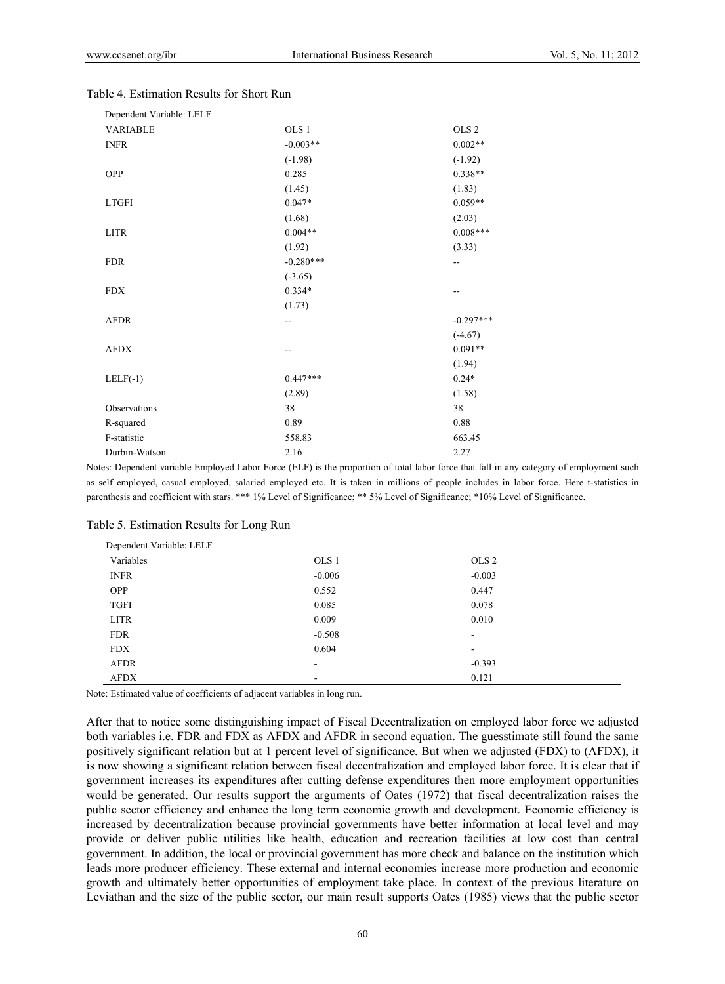| Dependent variable. LELF |                  |                  |  |
|--------------------------|------------------|------------------|--|
| <b>VARIABLE</b>          | OLS <sub>1</sub> | OLS <sub>2</sub> |  |
| <b>INFR</b>              | $-0.003**$       | $0.002**$        |  |
|                          | $(-1.98)$        | $(-1.92)$        |  |
| OPP                      | 0.285            | $0.338**$        |  |
|                          | (1.45)           | (1.83)           |  |
| <b>LTGFI</b>             | $0.047*$         | $0.059**$        |  |
|                          | (1.68)           | (2.03)           |  |
| LITR                     | $0.004**$        | $0.008***$       |  |
|                          | (1.92)           | (3.33)           |  |
| <b>FDR</b>               | $-0.280***$      | --               |  |
|                          | $(-3.65)$        |                  |  |
| <b>FDX</b>               | $0.334*$         | --               |  |
|                          | (1.73)           |                  |  |
| AFDR                     | --               | $-0.297***$      |  |
|                          |                  | $(-4.67)$        |  |
| AFDX                     | --               | $0.091**$        |  |
|                          |                  | (1.94)           |  |
| $LELF(-1)$               | $0.447***$       | $0.24*$          |  |
|                          | (2.89)           | (1.58)           |  |
| Observations             | 38               | 38               |  |
| R-squared                | 0.89             | 0.88             |  |
| F-statistic              | 558.83           | 663.45           |  |
| Durbin-Watson            | 2.16             | 2.27             |  |

#### Table 4. Estimation Results for Short Run

Dependent Variable: LELF

Notes: Dependent variable Employed Labor Force (ELF) is the proportion of total labor force that fall in any category of employment such as self employed, casual employed, salaried employed etc. It is taken in millions of people includes in labor force. Here t-statistics in parenthesis and coefficient with stars. \*\*\* 1% Level of Significance; \*\* 5% Level of Significance; \*10% Level of Significance.

| Dependent variable. LELF |                          |                          |  |
|--------------------------|--------------------------|--------------------------|--|
| Variables                | OLS <sub>1</sub>         | OLS <sub>2</sub>         |  |
| <b>INFR</b>              | $-0.006$                 | $-0.003$                 |  |
| <b>OPP</b>               | 0.552                    | 0.447                    |  |
| <b>TGFI</b>              | 0.085                    | 0.078                    |  |
| <b>LITR</b>              | 0.009                    | 0.010                    |  |
| <b>FDR</b>               | $-0.508$                 | $\overline{\phantom{a}}$ |  |
| <b>FDX</b>               | 0.604                    | $\overline{\phantom{a}}$ |  |
| <b>AFDR</b>              | ۰                        | $-0.393$                 |  |
| AFDX                     | $\overline{\phantom{a}}$ | 0.121                    |  |

#### Table 5. Estimation Results for Long Run

Dependent Variable: LELF

Note: Estimated value of coefficients of adjacent variables in long run.

After that to notice some distinguishing impact of Fiscal Decentralization on employed labor force we adjusted both variables i.e. FDR and FDX as AFDX and AFDR in second equation. The guesstimate still found the same positively significant relation but at 1 percent level of significance. But when we adjusted (FDX) to (AFDX), it is now showing a significant relation between fiscal decentralization and employed labor force. It is clear that if government increases its expenditures after cutting defense expenditures then more employment opportunities would be generated. Our results support the arguments of Oates (1972) that fiscal decentralization raises the public sector efficiency and enhance the long term economic growth and development. Economic efficiency is increased by decentralization because provincial governments have better information at local level and may provide or deliver public utilities like health, education and recreation facilities at low cost than central government. In addition, the local or provincial government has more check and balance on the institution which leads more producer efficiency. These external and internal economies increase more production and economic growth and ultimately better opportunities of employment take place. In context of the previous literature on Leviathan and the size of the public sector, our main result supports Oates (1985) views that the public sector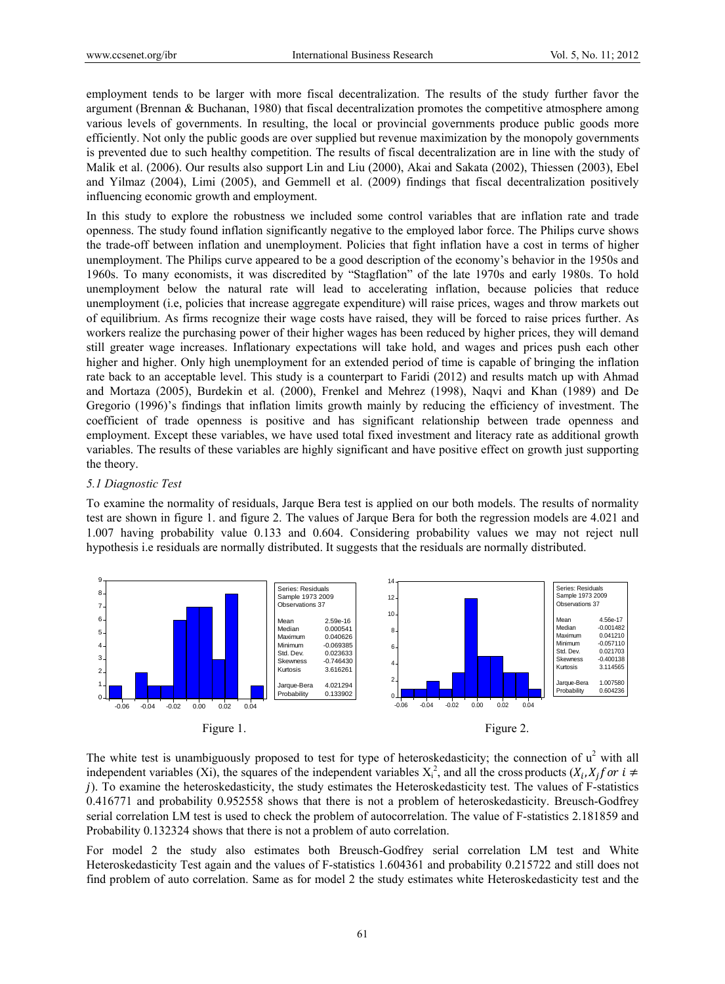employment tends to be larger with more fiscal decentralization. The results of the study further favor the argument (Brennan & Buchanan, 1980) that fiscal decentralization promotes the competitive atmosphere among various levels of governments. In resulting, the local or provincial governments produce public goods more efficiently. Not only the public goods are over supplied but revenue maximization by the monopoly governments is prevented due to such healthy competition. The results of fiscal decentralization are in line with the study of Malik et al. (2006). Our results also support Lin and Liu (2000), Akai and Sakata (2002), Thiessen (2003), Ebel and Yilmaz (2004), Limi (2005), and Gemmell et al. (2009) findings that fiscal decentralization positively influencing economic growth and employment.

In this study to explore the robustness we included some control variables that are inflation rate and trade openness. The study found inflation significantly negative to the employed labor force. The Philips curve shows the trade-off between inflation and unemployment. Policies that fight inflation have a cost in terms of higher unemployment. The Philips curve appeared to be a good description of the economy's behavior in the 1950s and 1960s. To many economists, it was discredited by "Stagflation" of the late 1970s and early 1980s. To hold unemployment below the natural rate will lead to accelerating inflation, because policies that reduce unemployment (i.e, policies that increase aggregate expenditure) will raise prices, wages and throw markets out of equilibrium. As firms recognize their wage costs have raised, they will be forced to raise prices further. As workers realize the purchasing power of their higher wages has been reduced by higher prices, they will demand still greater wage increases. Inflationary expectations will take hold, and wages and prices push each other higher and higher. Only high unemployment for an extended period of time is capable of bringing the inflation rate back to an acceptable level. This study is a counterpart to Faridi (2012) and results match up with Ahmad and Mortaza (2005), Burdekin et al. (2000), Frenkel and Mehrez (1998), Naqvi and Khan (1989) and De Gregorio (1996)'s findings that inflation limits growth mainly by reducing the efficiency of investment. The coefficient of trade openness is positive and has significant relationship between trade openness and employment. Except these variables, we have used total fixed investment and literacy rate as additional growth variables. The results of these variables are highly significant and have positive effect on growth just supporting the theory.

## *5.1 Diagnostic Test*

To examine the normality of residuals, Jarque Bera test is applied on our both models. The results of normality test are shown in figure 1. and figure 2. The values of Jarque Bera for both the regression models are 4.021 and 1.007 having probability value 0.133 and 0.604. Considering probability values we may not reject null hypothesis i.e residuals are normally distributed. It suggests that the residuals are normally distributed.



The white test is unambiguously proposed to test for type of heteroskedasticity; the connection of  $u^2$  with all independent variables (Xi), the squares of the independent variables  $X_i^2$ , and all the cross products  $(X_i, X_j)$  or  $i \neq j$ ݆). To examine the heteroskedasticity, the study estimates the Heteroskedasticity test. The values of F-statistics 0.416771 and probability 0.952558 shows that there is not a problem of heteroskedasticity. Breusch-Godfrey serial correlation LM test is used to check the problem of autocorrelation. The value of F-statistics 2.181859 and Probability 0.132324 shows that there is not a problem of auto correlation.

For model 2 the study also estimates both Breusch-Godfrey serial correlation LM test and White Heteroskedasticity Test again and the values of F-statistics 1.604361 and probability 0.215722 and still does not find problem of auto correlation. Same as for model 2 the study estimates white Heteroskedasticity test and the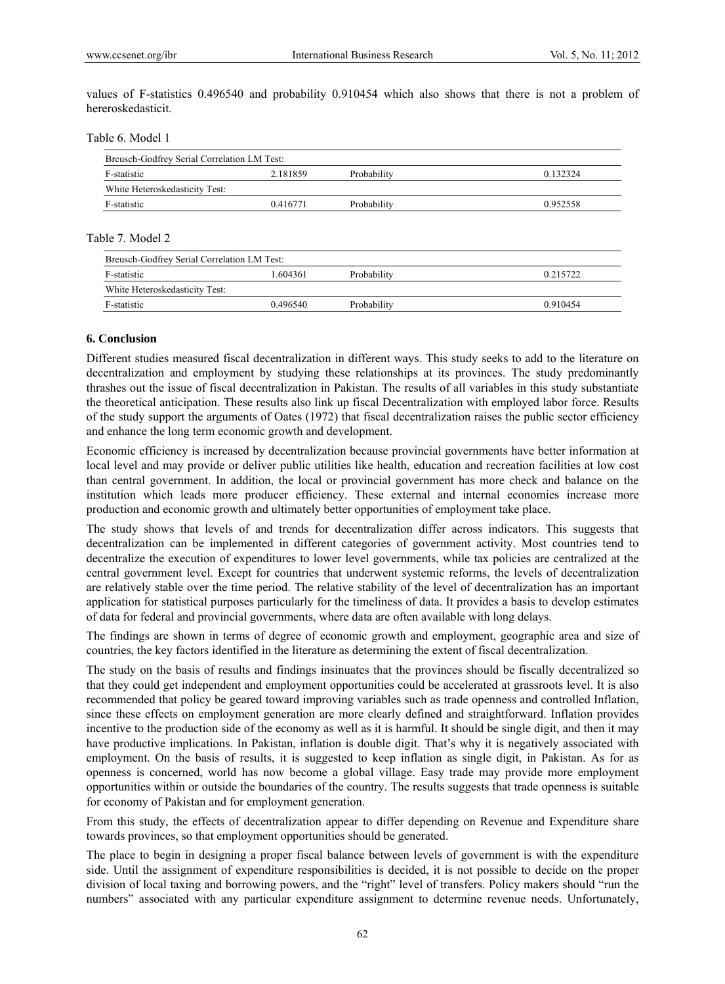values of F-statistics 0.496540 and probability 0.910454 which also shows that there is not a problem of hereroskedasticit.

Table 6. Model 1

| Breusch-Godfrey Serial Correlation LM Test: |          |             |          |  |  |  |
|---------------------------------------------|----------|-------------|----------|--|--|--|
| F-statistic                                 | 2.181859 | Probability | 0.132324 |  |  |  |
| White Heteroskedasticity Test:              |          |             |          |  |  |  |
| F-statistic                                 | 0.416771 | Probability | 0.952558 |  |  |  |

Table 7. Model 2

| Breusch-Godfrey Serial Correlation LM Test: |          |             |          |  |  |  |
|---------------------------------------------|----------|-------------|----------|--|--|--|
| F-statistic                                 | - 604361 | Probability | 0.215722 |  |  |  |
| White Heteroskedasticity Test:              |          |             |          |  |  |  |
| F-statistic                                 | 0.496540 | Probability | 0.910454 |  |  |  |

#### **6. Conclusion**

Different studies measured fiscal decentralization in different ways. This study seeks to add to the literature on decentralization and employment by studying these relationships at its provinces. The study predominantly thrashes out the issue of fiscal decentralization in Pakistan. The results of all variables in this study substantiate the theoretical anticipation. These results also link up fiscal Decentralization with employed labor force. Results of the study support the arguments of Oates (1972) that fiscal decentralization raises the public sector efficiency and enhance the long term economic growth and development.

Economic efficiency is increased by decentralization because provincial governments have better information at local level and may provide or deliver public utilities like health, education and recreation facilities at low cost than central government. In addition, the local or provincial government has more check and balance on the institution which leads more producer efficiency. These external and internal economies increase more production and economic growth and ultimately better opportunities of employment take place.

The study shows that levels of and trends for decentralization differ across indicators. This suggests that decentralization can be implemented in different categories of government activity. Most countries tend to decentralize the execution of expenditures to lower level governments, while tax policies are centralized at the central government level. Except for countries that underwent systemic reforms, the levels of decentralization are relatively stable over the time period. The relative stability of the level of decentralization has an important application for statistical purposes particularly for the timeliness of data. It provides a basis to develop estimates of data for federal and provincial governments, where data are often available with long delays.

The findings are shown in terms of degree of economic growth and employment, geographic area and size of countries, the key factors identified in the literature as determining the extent of fiscal decentralization.

The study on the basis of results and findings insinuates that the provinces should be fiscally decentralized so that they could get independent and employment opportunities could be accelerated at grassroots level. It is also recommended that policy be geared toward improving variables such as trade openness and controlled Inflation, since these effects on employment generation are more clearly defined and straightforward. Inflation provides incentive to the production side of the economy as well as it is harmful. It should be single digit, and then it may have productive implications. In Pakistan, inflation is double digit. That's why it is negatively associated with employment. On the basis of results, it is suggested to keep inflation as single digit, in Pakistan. As for as openness is concerned, world has now become a global village. Easy trade may provide more employment opportunities within or outside the boundaries of the country. The results suggests that trade openness is suitable for economy of Pakistan and for employment generation.

From this study, the effects of decentralization appear to differ depending on Revenue and Expenditure share towards provinces, so that employment opportunities should be generated.

The place to begin in designing a proper fiscal balance between levels of government is with the expenditure side. Until the assignment of expenditure responsibilities is decided, it is not possible to decide on the proper division of local taxing and borrowing powers, and the "right" level of transfers. Policy makers should "run the numbers" associated with any particular expenditure assignment to determine revenue needs. Unfortunately,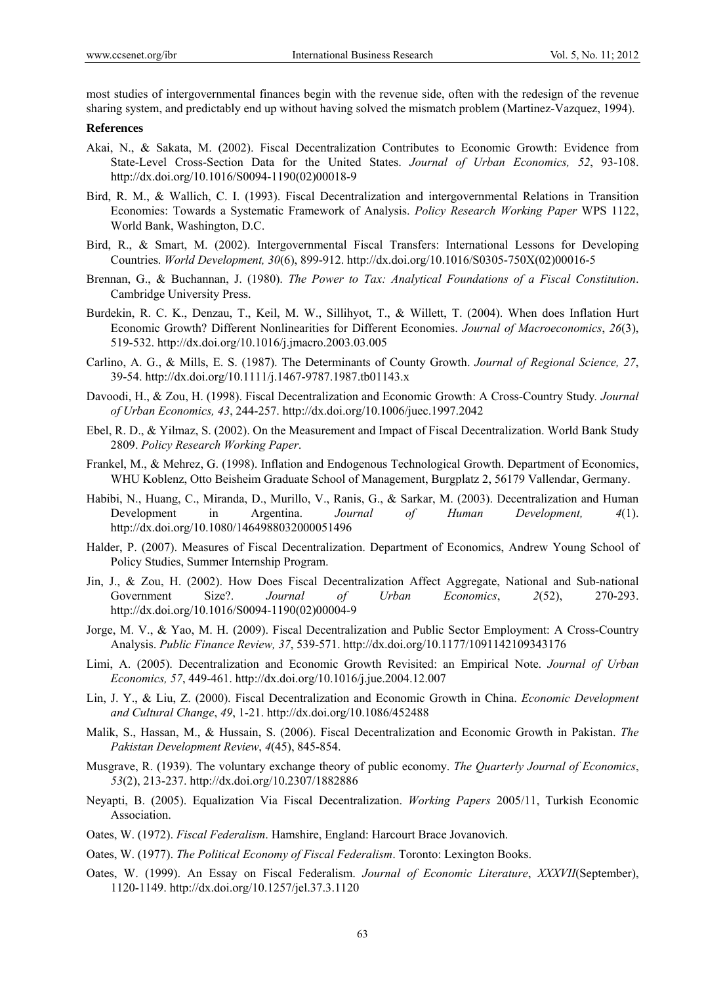most studies of intergovernmental finances begin with the revenue side, often with the redesign of the revenue sharing system, and predictably end up without having solved the mismatch problem (Martinez-Vazquez, 1994).

#### **References**

- Akai, N., & Sakata, M. (2002). Fiscal Decentralization Contributes to Economic Growth: Evidence from State-Level Cross-Section Data for the United States. *Journal of Urban Economics, 52*, 93-108. http://dx.doi.org/10.1016/S0094-1190(02)00018-9
- Bird, R. M., & Wallich, C. I. (1993). Fiscal Decentralization and intergovernmental Relations in Transition Economies: Towards a Systematic Framework of Analysis. *Policy Research Working Paper* WPS 1122, World Bank, Washington, D.C.
- Bird, R., & Smart, M. (2002). Intergovernmental Fiscal Transfers: International Lessons for Developing Countries. *World Development, 30*(6), 899-912. http://dx.doi.org/10.1016/S0305-750X(02)00016-5
- Brennan, G., & Buchannan, J. (1980). *The Power to Tax: Analytical Foundations of a Fiscal Constitution*. Cambridge University Press.
- Burdekin, R. C. K., Denzau, T., Keil, M. W., Sillihyot, T., & Willett, T. (2004). When does Inflation Hurt Economic Growth? Different Nonlinearities for Different Economies. *Journal of Macroeconomics*, *26*(3), 519-532. http://dx.doi.org/10.1016/j.jmacro.2003.03.005
- Carlino, A. G., & Mills, E. S. (1987). The Determinants of County Growth. *Journal of Regional Science, 27*, 39-54. http://dx.doi.org/10.1111/j.1467-9787.1987.tb01143.x
- Davoodi, H., & Zou, H. (1998). Fiscal Decentralization and Economic Growth: A Cross-Country Study*. Journal of Urban Economics, 43*, 244-257. http://dx.doi.org/10.1006/juec.1997.2042
- Ebel, R. D., & Yilmaz, S. (2002). On the Measurement and Impact of Fiscal Decentralization. World Bank Study 2809. *Policy Research Working Paper*.
- Frankel, M., & Mehrez, G. (1998). Inflation and Endogenous Technological Growth. Department of Economics, WHU Koblenz, Otto Beisheim Graduate School of Management, Burgplatz 2, 56179 Vallendar, Germany.
- Habibi, N., Huang, C., Miranda, D., Murillo, V., Ranis, G., & Sarkar, M. (2003). Decentralization and Human Development in Argentina. *Journal of Human Development, 4*(1). http://dx.doi.org/10.1080/1464988032000051496
- Halder, P. (2007). Measures of Fiscal Decentralization. Department of Economics, Andrew Young School of Policy Studies, Summer Internship Program.
- Jin, J., & Zou, H. (2002). How Does Fiscal Decentralization Affect Aggregate, National and Sub-national Government Size?. *Journal of Urban Economics*, *2*(52), 270-293. http://dx.doi.org/10.1016/S0094-1190(02)00004-9
- Jorge, M. V., & Yao, M. H. (2009). Fiscal Decentralization and Public Sector Employment: A Cross-Country Analysis. *Public Finance Review, 37*, 539-571. http://dx.doi.org/10.1177/1091142109343176
- Limi, A. (2005). Decentralization and Economic Growth Revisited: an Empirical Note. *Journal of Urban Economics, 57*, 449-461. http://dx.doi.org/10.1016/j.jue.2004.12.007
- Lin, J. Y., & Liu, Z. (2000). Fiscal Decentralization and Economic Growth in China. *Economic Development and Cultural Change*, *49*, 1-21. http://dx.doi.org/10.1086/452488
- Malik, S., Hassan, M., & Hussain, S. (2006). Fiscal Decentralization and Economic Growth in Pakistan. *The Pakistan Development Review*, *4*(45), 845-854.
- Musgrave, R. (1939). The voluntary exchange theory of public economy. *The Quarterly Journal of Economics*, *53*(2), 213-237. http://dx.doi.org/10.2307/1882886
- Neyapti, B. (2005). Equalization Via Fiscal Decentralization. *Working Papers* 2005/11, Turkish Economic Association.
- Oates, W. (1972). *Fiscal Federalism*. Hamshire, England: Harcourt Brace Jovanovich.
- Oates, W. (1977). *The Political Economy of Fiscal Federalism*. Toronto: Lexington Books.
- Oates, W. (1999). An Essay on Fiscal Federalism. *Journal of Economic Literature*, *XXXVII*(September), 1120-1149. http://dx.doi.org/10.1257/jel.37.3.1120